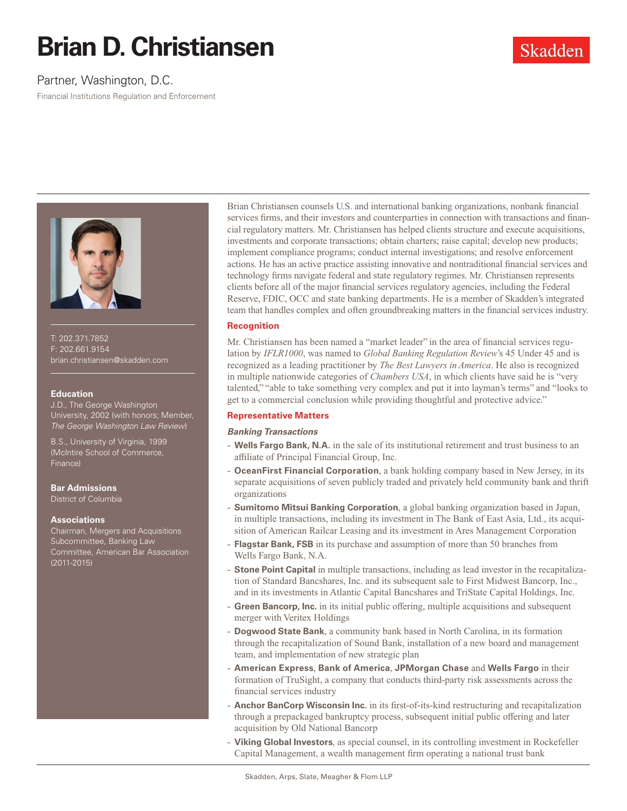# **Brian D. Christiansen**

# Partner, Washington, D.C.

Financial Institutions Regulation and Enforcement



T: 202.371.7852 F: 202.661.9154 brian.christiansen@skadden.com

#### **Education**

J.D., The George Washington versity, 2002 (with honors; Member, *The George Washington Law Review*)

B.S., University of Virginia, 1999 (McIntire School of Commerce, Finance)

# **Bar Admissions**

District of Columbia

## **Associations**

Chairman, Mergers and Acquisitions Subcommittee, Banking Law Committee, American Bar Association (2011-2015)

Brian Christiansen counsels U.S. and international banking organizations, nonbank financial services firms, and their investors and counterparties in connection with transactions and financial regulatory matters. Mr. Christiansen has helped clients structure and execute acquisitions, investments and corporate transactions; obtain charters; raise capital; develop new products; implement compliance programs; conduct internal investigations; and resolve enforcement actions. He has an active practice assisting innovative and nontraditional financial services and technology firms navigate federal and state regulatory regimes. Mr. Christiansen represents clients before all of the major financial services regulatory agencies, including the Federal Reserve, FDIC, OCC and state banking departments. He is a member of Skadden's integrated team that handles complex and often groundbreaking matters in the financial services industry.

## **Recognition**

Mr. Christiansen has been named a "market leader" in the area of financial services regulation by *IFLR1000*, was named to *Global Banking Regulation Review*'s 45 Under 45 and is recognized as a leading practitioner by *The Best Lawyers in America*. He also is recognized in multiple nationwide categories of *Chambers USA*, in which clients have said he is "very talented," "able to take something very complex and put it into layman's terms" and "looks to get to a commercial conclusion while providing thoughtful and protective advice."

## **Representative Matters**

#### *Banking Transactions*

- **Wells Fargo Bank, N.A.** in the sale of its institutional retirement and trust business to an affiliate of Principal Financial Group, Inc.
- **OceanFirst Financial Corporation**, a bank holding company based in New Jersey, in its separate acquisitions of seven publicly traded and privately held community bank and thrift organizations
- **Sumitomo Mitsui Banking Corporation**, a global banking organization based in Japan, in multiple transactions, including its investment in The Bank of East Asia, Ltd., its acquisition of American Railcar Leasing and its investment in Ares Management Corporation
- **Flagstar Bank, FSB** in its purchase and assumption of more than 50 branches from Wells Fargo Bank, N.A.
- **Stone Point Capital** in multiple transactions, including as lead investor in the recapitalization of Standard Bancshares, Inc. and its subsequent sale to First Midwest Bancorp, Inc., and in its investments in Atlantic Capital Bancshares and TriState Capital Holdings, Inc.
- **Green Bancorp, Inc.** in its initial public offering, multiple acquisitions and subsequent merger with Veritex Holdings
- **Dogwood State Bank**, a community bank based in North Carolina, in its formation through the recapitalization of Sound Bank, installation of a new board and management team, and implementation of new strategic plan
- **American Express**, **Bank of America**, **JPMorgan Chase** and **Wells Fargo** in their formation of TruSight, a company that conducts third-party risk assessments across the financial services industry
- **Anchor BanCorp Wisconsin Inc.** in its first-of-its-kind restructuring and recapitalization through a prepackaged bankruptcy process, subsequent initial public offering and later acquisition by Old National Bancorp
- **Viking Global Investors**, as special counsel, in its controlling investment in Rockefeller Capital Management, a wealth management firm operating a national trust bank